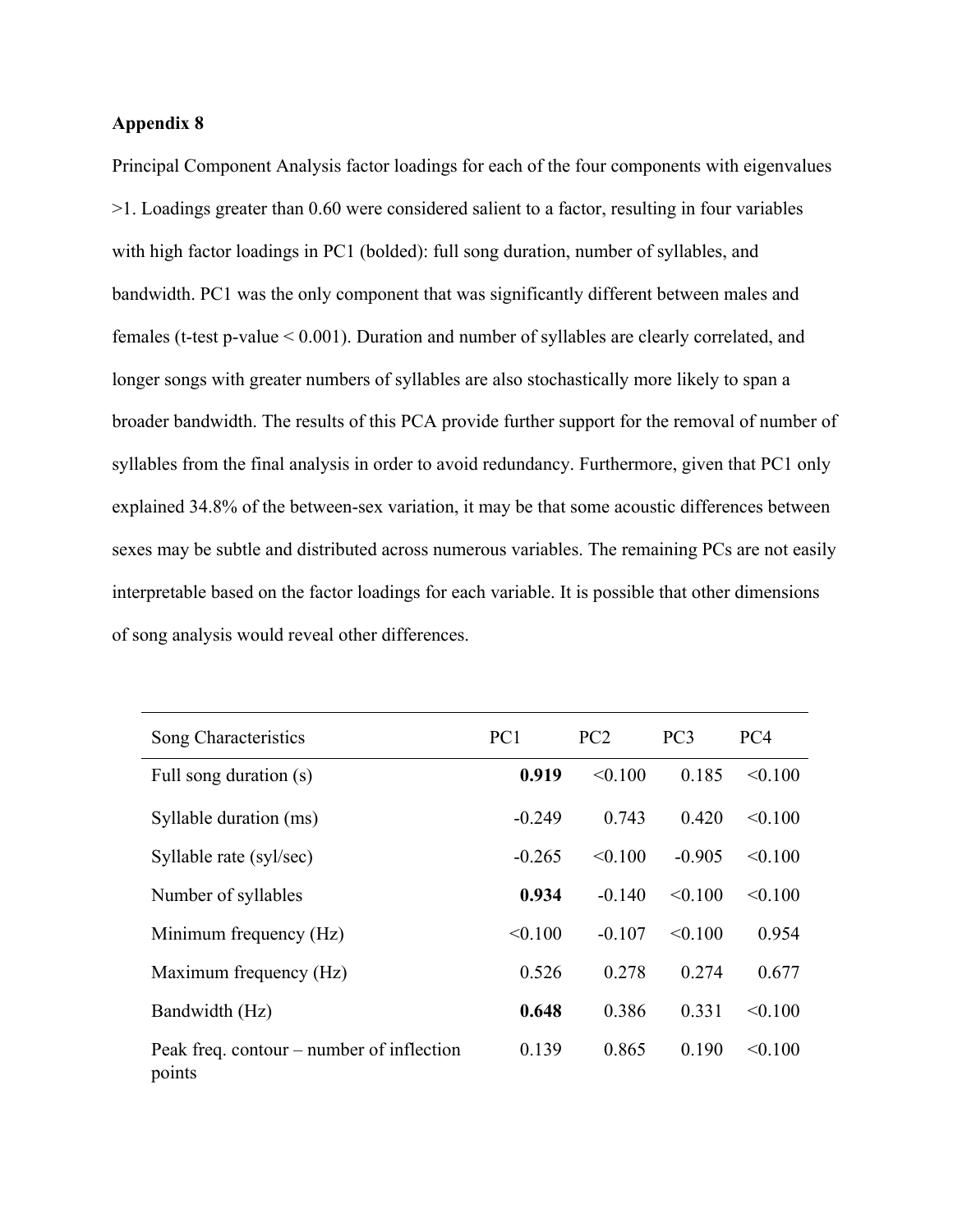## **Appendix 8**

Principal Component Analysis factor loadings for each of the four components with eigenvalues >1. Loadings greater than 0.60 were considered salient to a factor, resulting in four variables with high factor loadings in PC1 (bolded): full song duration, number of syllables, and bandwidth. PC1 was the only component that was significantly different between males and females (t-test p-value < 0.001). Duration and number of syllables are clearly correlated, and longer songs with greater numbers of syllables are also stochastically more likely to span a broader bandwidth. The results of this PCA provide further support for the removal of number of syllables from the final analysis in order to avoid redundancy. Furthermore, given that PC1 only explained 34.8% of the between-sex variation, it may be that some acoustic differences between sexes may be subtle and distributed across numerous variables. The remaining PCs are not easily interpretable based on the factor loadings for each variable. It is possible that other dimensions of song analysis would reveal other differences.

| Song Characteristics                                | PC <sub>1</sub> | PC2      | PC <sub>3</sub> | PC4     |
|-----------------------------------------------------|-----------------|----------|-----------------|---------|
| Full song duration (s)                              | 0.919           | < 0.100  | 0.185           | < 0.100 |
| Syllable duration (ms)                              | $-0.249$        | 0.743    | 0.420           | < 0.100 |
| Syllable rate (syl/sec)                             | $-0.265$        | < 0.100  | $-0.905$        | < 0.100 |
| Number of syllables                                 | 0.934           | $-0.140$ | < 0.100         | < 0.100 |
| Minimum frequency (Hz)                              | < 0.100         | $-0.107$ | < 0.100         | 0.954   |
| Maximum frequency (Hz)                              | 0.526           | 0.278    | 0.274           | 0.677   |
| Bandwidth (Hz)                                      | 0.648           | 0.386    | 0.331           | < 0.100 |
| Peak freq. contour – number of inflection<br>points | 0.139           | 0.865    | 0.190           | < 0.100 |